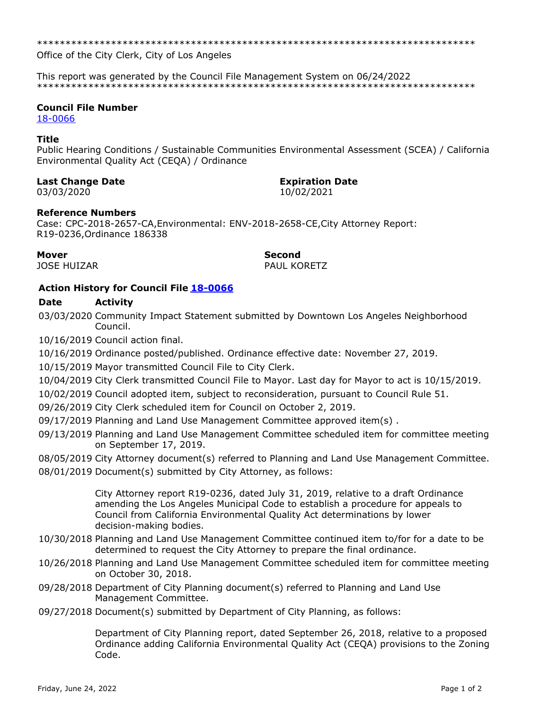Office of the City Clerk, City of Los Angeles

This report was generated by the Council File Management System on 06/24/2022 

## **Council File Number**

18-0066

## **Title**

Public Hearing Conditions / Sustainable Communities Environmental Assessment (SCEA) / California Environmental Quality Act (CEQA) / Ordinance

## **Last Change Date**

03/03/2020

# **Expiration Date**

10/02/2021

# **Reference Numbers**

Case: CPC-2018-2657-CA, Environmental: ENV-2018-2658-CE, City Attorney Report: R19-0236, Ordinance 186338

**Mover JOSE HUIZAR**  **Second** PAUL KORETZ

# **Action History for Council File 18-0066**

#### **Date Activity**

03/03/2020 Community Impact Statement submitted by Downtown Los Angeles Neighborhood Council.

10/16/2019 Council action final.

- 10/16/2019 Ordinance posted/published. Ordinance effective date: November 27, 2019.
- 10/15/2019 Mayor transmitted Council File to City Clerk.
- 10/04/2019 City Clerk transmitted Council File to Mayor. Last day for Mayor to act is 10/15/2019.
- 10/02/2019 Council adopted item, subject to reconsideration, pursuant to Council Rule 51.
- 09/26/2019 City Clerk scheduled item for Council on October 2, 2019.
- 09/17/2019 Planning and Land Use Management Committee approved item(s).
- 09/13/2019 Planning and Land Use Management Committee scheduled item for committee meeting on September 17, 2019.
- 08/05/2019 City Attorney document(s) referred to Planning and Land Use Management Committee.
- 08/01/2019 Document(s) submitted by City Attorney, as follows:

City Attorney report R19-0236, dated July 31, 2019, relative to a draft Ordinance amending the Los Angeles Municipal Code to establish a procedure for appeals to Council from California Environmental Quality Act determinations by lower decision-making bodies.

- 10/30/2018 Planning and Land Use Management Committee continued item to/for for a date to be determined to request the City Attorney to prepare the final ordinance.
- 10/26/2018 Planning and Land Use Management Committee scheduled item for committee meeting on October 30, 2018.
- 09/28/2018 Department of City Planning document(s) referred to Planning and Land Use Management Committee.
- 09/27/2018 Document(s) submitted by Department of City Planning, as follows:

Department of City Planning report, dated September 26, 2018, relative to a proposed Ordinance adding California Environmental Quality Act (CEQA) provisions to the Zoning Code.